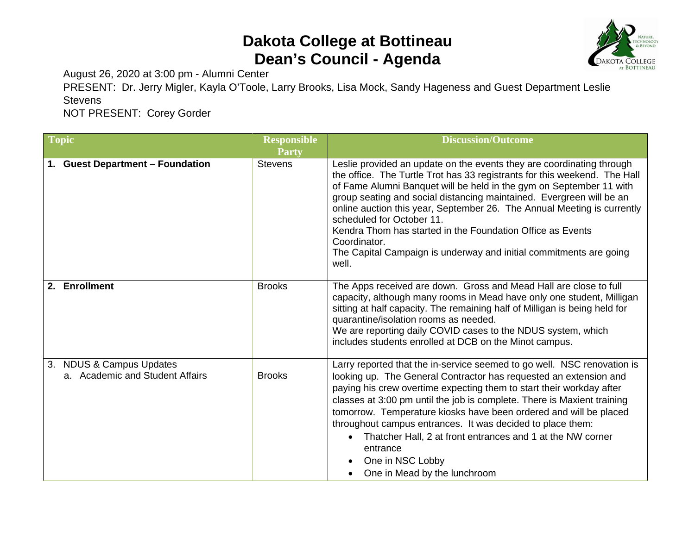## **Dakota College at Bottineau Dean's Council - Agenda**



August 26, 2020 at 3:00 pm - Alumni Center

PRESENT: Dr. Jerry Migler, Kayla O'Toole, Larry Brooks, Lisa Mock, Sandy Hageness and Guest Department Leslie **Stevens** 

NOT PRESENT: Corey Gorder

| Topic                                                       | <b>Responsible</b> | <b>Discussion/Outcome</b>                                                                                                                                                                                                                                                                                                                                                                                                                                                                                                                                              |
|-------------------------------------------------------------|--------------------|------------------------------------------------------------------------------------------------------------------------------------------------------------------------------------------------------------------------------------------------------------------------------------------------------------------------------------------------------------------------------------------------------------------------------------------------------------------------------------------------------------------------------------------------------------------------|
|                                                             | Party              |                                                                                                                                                                                                                                                                                                                                                                                                                                                                                                                                                                        |
| 1. Guest Department - Foundation                            | <b>Stevens</b>     | Leslie provided an update on the events they are coordinating through<br>the office. The Turtle Trot has 33 registrants for this weekend. The Hall<br>of Fame Alumni Banquet will be held in the gym on September 11 with<br>group seating and social distancing maintained. Evergreen will be an<br>online auction this year, September 26. The Annual Meeting is currently<br>scheduled for October 11.<br>Kendra Thom has started in the Foundation Office as Events<br>Coordinator.<br>The Capital Campaign is underway and initial commitments are going<br>well. |
| 2. Enrollment                                               | <b>Brooks</b>      | The Apps received are down. Gross and Mead Hall are close to full<br>capacity, although many rooms in Mead have only one student, Milligan<br>sitting at half capacity. The remaining half of Milligan is being held for<br>quarantine/isolation rooms as needed.<br>We are reporting daily COVID cases to the NDUS system, which<br>includes students enrolled at DCB on the Minot campus.                                                                                                                                                                            |
| 3. NDUS & Campus Updates<br>a. Academic and Student Affairs | <b>Brooks</b>      | Larry reported that the in-service seemed to go well. NSC renovation is<br>looking up. The General Contractor has requested an extension and<br>paying his crew overtime expecting them to start their workday after<br>classes at 3:00 pm until the job is complete. There is Maxient training<br>tomorrow. Temperature kiosks have been ordered and will be placed<br>throughout campus entrances. It was decided to place them:<br>Thatcher Hall, 2 at front entrances and 1 at the NW corner<br>entrance<br>One in NSC Lobby<br>One in Mead by the lunchroom       |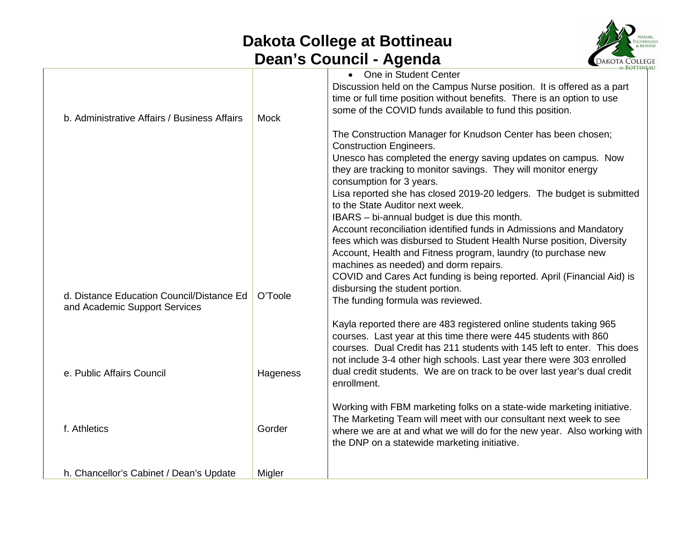## **Dakota College at Bottineau Dean's Council - Agenda**



|                                                                            |             | .<br><b>AT BOTTINE</b>                                                                                                                                                                                                                                                                                                                                                                |
|----------------------------------------------------------------------------|-------------|---------------------------------------------------------------------------------------------------------------------------------------------------------------------------------------------------------------------------------------------------------------------------------------------------------------------------------------------------------------------------------------|
| b. Administrative Affairs / Business Affairs                               | <b>Mock</b> | • One in Student Center<br>Discussion held on the Campus Nurse position. It is offered as a part<br>time or full time position without benefits. There is an option to use<br>some of the COVID funds available to fund this position.                                                                                                                                                |
|                                                                            |             | The Construction Manager for Knudson Center has been chosen;<br><b>Construction Engineers.</b><br>Unesco has completed the energy saving updates on campus. Now<br>they are tracking to monitor savings. They will monitor energy<br>consumption for 3 years.                                                                                                                         |
|                                                                            |             | Lisa reported she has closed 2019-20 ledgers. The budget is submitted<br>to the State Auditor next week.<br>IBARS - bi-annual budget is due this month.<br>Account reconciliation identified funds in Admissions and Mandatory                                                                                                                                                        |
|                                                                            |             | fees which was disbursed to Student Health Nurse position, Diversity<br>Account, Health and Fitness program, laundry (to purchase new<br>machines as needed) and dorm repairs.<br>COVID and Cares Act funding is being reported. April (Financial Aid) is<br>disbursing the student portion.                                                                                          |
| d. Distance Education Council/Distance Ed<br>and Academic Support Services | O'Toole     | The funding formula was reviewed.                                                                                                                                                                                                                                                                                                                                                     |
| e. Public Affairs Council                                                  | Hageness    | Kayla reported there are 483 registered online students taking 965<br>courses. Last year at this time there were 445 students with 860<br>courses. Dual Credit has 211 students with 145 left to enter. This does<br>not include 3-4 other high schools. Last year there were 303 enrolled<br>dual credit students. We are on track to be over last year's dual credit<br>enrollment. |
| f. Athletics                                                               | Gorder      | Working with FBM marketing folks on a state-wide marketing initiative.<br>The Marketing Team will meet with our consultant next week to see<br>where we are at and what we will do for the new year. Also working with<br>the DNP on a statewide marketing initiative.                                                                                                                |
| h. Chancellor's Cabinet / Dean's Update                                    | Migler      |                                                                                                                                                                                                                                                                                                                                                                                       |